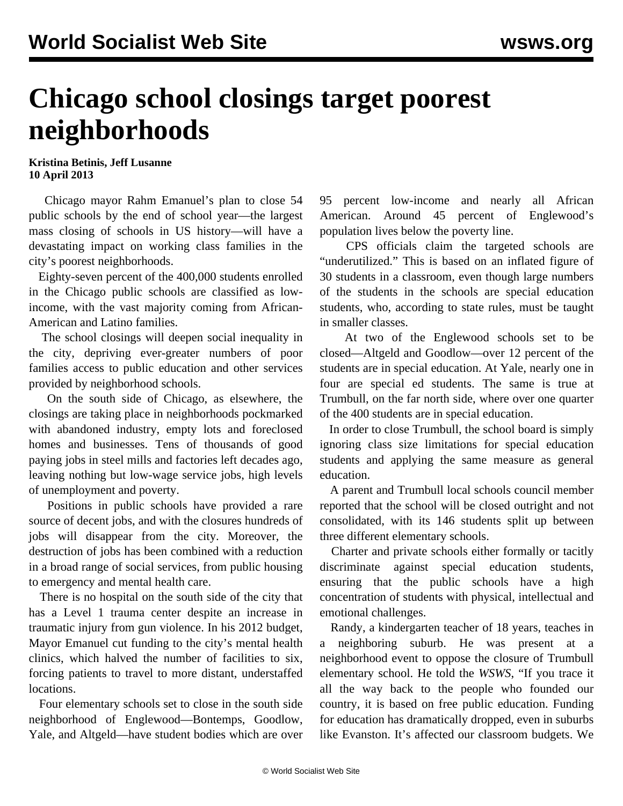## **Chicago school closings target poorest neighborhoods**

## **Kristina Betinis, Jeff Lusanne 10 April 2013**

 Chicago mayor Rahm Emanuel's plan to close 54 public schools by the end of school year—the largest mass closing of schools in US history—will have a devastating impact on working class families in the city's poorest neighborhoods.

 Eighty-seven percent of the 400,000 students enrolled in the Chicago public schools are classified as lowincome, with the vast majority coming from African-American and Latino families.

 The school closings will deepen social inequality in the city, depriving ever-greater numbers of poor families access to public education and other services provided by neighborhood schools.

 On the south side of Chicago, as elsewhere, the closings are taking place in neighborhoods pockmarked with abandoned industry, empty lots and foreclosed homes and businesses. Tens of thousands of good paying jobs in steel mills and factories left decades ago, leaving nothing but low-wage service jobs, high levels of unemployment and poverty.

 Positions in public schools have provided a rare source of decent jobs, and with the closures hundreds of jobs will disappear from the city. Moreover, the destruction of jobs has been combined with a reduction in a broad range of social services, from public housing to emergency and mental health care.

 There is no hospital on the south side of the city that has a Level 1 trauma center despite an increase in traumatic injury from gun violence. In his 2012 budget, Mayor Emanuel cut funding to the city's mental health clinics, which halved the number of facilities to six, forcing patients to travel to more distant, understaffed locations.

 Four elementary schools set to close in the south side neighborhood of Englewood—Bontemps, Goodlow, Yale, and Altgeld—have student bodies which are over 95 percent low-income and nearly all African American. Around 45 percent of Englewood's population lives below the poverty line.

 CPS officials claim the targeted schools are "underutilized." This is based on an inflated figure of 30 students in a classroom, even though large numbers of the students in the schools are special education students, who, according to state rules, must be taught in smaller classes.

 At two of the Englewood schools set to be closed—Altgeld and Goodlow—over 12 percent of the students are in special education. At Yale, nearly one in four are special ed students. The same is true at Trumbull, on the far north side, where over one quarter of the 400 students are in special education.

 In order to close Trumbull, the school board is simply ignoring class size limitations for special education students and applying the same measure as general education.

 A parent and Trumbull local schools council member reported that the school will be closed outright and not consolidated, with its 146 students split up between three different elementary schools.

 Charter and private schools either formally or tacitly discriminate against special education students, ensuring that the public schools have a high concentration of students with physical, intellectual and emotional challenges.

 Randy, a kindergarten teacher of 18 years, teaches in a neighboring suburb. He was present at a neighborhood event to oppose the closure of Trumbull elementary school. He told the *WSWS*, "If you trace it all the way back to the people who founded our country, it is based on free public education. Funding for education has dramatically dropped, even in suburbs like Evanston. It's affected our classroom budgets. We